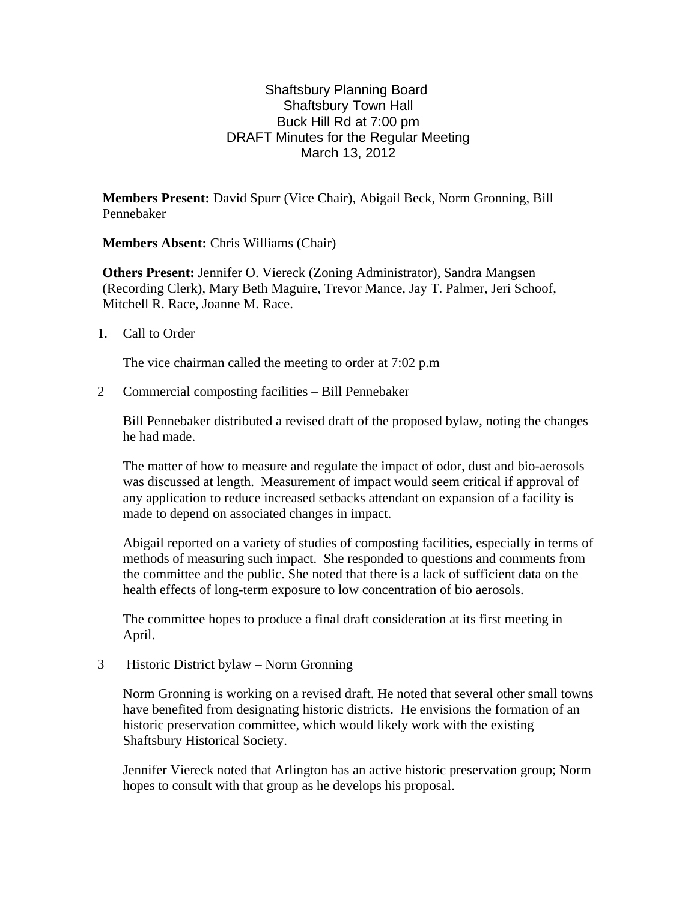## Shaftsbury Planning Board Shaftsbury Town Hall Buck Hill Rd at 7:00 pm DRAFT Minutes for the Regular Meeting March 13, 2012

**Members Present:** David Spurr (Vice Chair), Abigail Beck, Norm Gronning, Bill Pennebaker

**Members Absent:** Chris Williams (Chair)

**Others Present:** Jennifer O. Viereck (Zoning Administrator), Sandra Mangsen (Recording Clerk), Mary Beth Maguire, Trevor Mance, Jay T. Palmer, Jeri Schoof, Mitchell R. Race, Joanne M. Race.

1. Call to Order

The vice chairman called the meeting to order at 7:02 p.m

2 Commercial composting facilities – Bill Pennebaker

Bill Pennebaker distributed a revised draft of the proposed bylaw, noting the changes he had made.

The matter of how to measure and regulate the impact of odor, dust and bio-aerosols was discussed at length. Measurement of impact would seem critical if approval of any application to reduce increased setbacks attendant on expansion of a facility is made to depend on associated changes in impact.

Abigail reported on a variety of studies of composting facilities, especially in terms of methods of measuring such impact. She responded to questions and comments from the committee and the public. She noted that there is a lack of sufficient data on the health effects of long-term exposure to low concentration of bio aerosols.

The committee hopes to produce a final draft consideration at its first meeting in April.

3 Historic District bylaw – Norm Gronning

Norm Gronning is working on a revised draft. He noted that several other small towns have benefited from designating historic districts. He envisions the formation of an historic preservation committee, which would likely work with the existing Shaftsbury Historical Society.

Jennifer Viereck noted that Arlington has an active historic preservation group; Norm hopes to consult with that group as he develops his proposal.